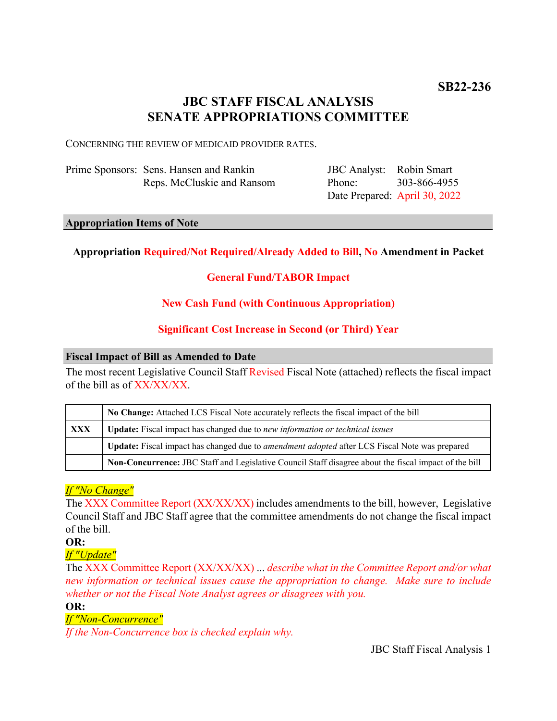# **JBC STAFF FISCAL ANALYSIS SENATE APPROPRIATIONS COMMITTEE**

CONCERNING THE REVIEW OF MEDICAID PROVIDER RATES.

| Prime Sponsors: Sens. Hansen and Rankin |
|-----------------------------------------|
| Reps. McCluskie and Ransom              |

JBC Analyst: Robin Smart Phone: Date Prepared: April 30, 2022 303-866-4955

#### **Appropriation Items of Note**

### **Appropriation Required/Not Required/Already Added to Bill, No Amendment in Packet**

### **General Fund/TABOR Impact**

#### **New Cash Fund (with Continuous Appropriation)**

#### **Significant Cost Increase in Second (or Third) Year**

#### **Fiscal Impact of Bill as Amended to Date**

The most recent Legislative Council Staff Revised Fiscal Note (attached) reflects the fiscal impact of the bill as of XX/XX/XX.

|            | No Change: Attached LCS Fiscal Note accurately reflects the fiscal impact of the bill                 |  |
|------------|-------------------------------------------------------------------------------------------------------|--|
| <b>XXX</b> | <b>Update:</b> Fiscal impact has changed due to new information or technical issues                   |  |
|            | Update: Fiscal impact has changed due to <i>amendment adopted</i> after LCS Fiscal Note was prepared  |  |
|            | Non-Concurrence: JBC Staff and Legislative Council Staff disagree about the fiscal impact of the bill |  |

#### *If "No Change"*

The XXX Committee Report (XX/XX/XX) includes amendments to the bill, however, Legislative Council Staff and JBC Staff agree that the committee amendments do not change the fiscal impact of the bill.

**OR:**

*If "Update"*

The XXX Committee Report (XX/XX/XX) ... *describe what in the Committee Report and/or what new information or technical issues cause the appropriation to change. Make sure to include whether or not the Fiscal Note Analyst agrees or disagrees with you.*

**OR:**

#### *If "Non-Concurrence"*

*If the Non-Concurrence box is checked explain why.* 

JBC Staff Fiscal Analysis 1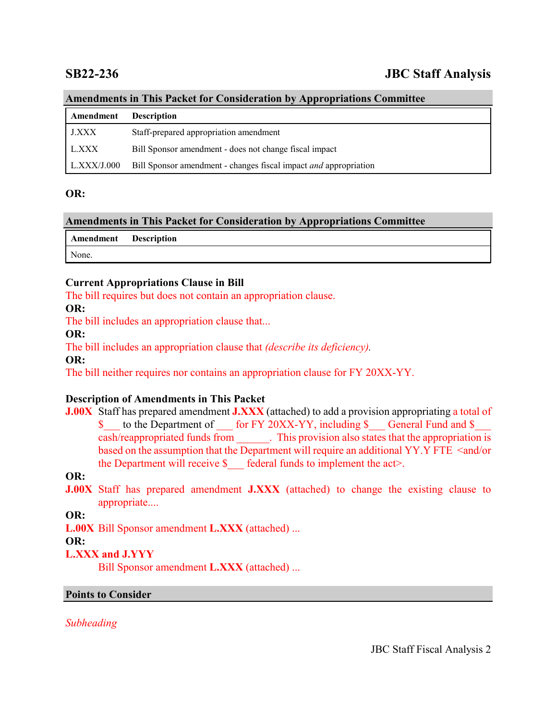# **SB22-236 JBC Staff Analysis**

# **Amendments in This Packet for Consideration by Appropriations Committee**

| <b>Amendment</b> Description |                                                                  |
|------------------------------|------------------------------------------------------------------|
| <b>J.XXX</b>                 | Staff-prepared appropriation amendment                           |
| L.XXX                        | Bill Sponsor amendment - does not change fiscal impact           |
| L.XXX/J.000                  | Bill Sponsor amendment - changes fiscal impact and appropriation |

#### **OR:**

#### **Amendments in This Packet for Consideration by Appropriations Committee**

| Amendment Description |  |
|-----------------------|--|
| None.                 |  |

#### **Current Appropriations Clause in Bill**

The bill requires but does not contain an appropriation clause.

**OR:**

The bill includes an appropriation clause that...

#### **OR:**

The bill includes an appropriation clause that *(describe its deficiency).*

**OR:**

The bill neither requires nor contains an appropriation clause for FY 20XX-YY.

### **Description of Amendments in This Packet**

**J.00X** Staff has prepared amendment **J.XXX** (attached) to add a provision appropriating a total of \$ to the Department of for FY 20XX-YY, including \$ General Fund and \$ cash/reappropriated funds from \_\_\_\_\_\_. This provision also states that the appropriation is based on the assumption that the Department will require an additional YY.Y FTE <and/or the Department will receive  $\$  federal funds to implement the act>.

#### **OR:**

**J.00X** Staff has prepared amendment **J.XXX** (attached) to change the existing clause to appropriate....

**OR:**

**L.00X** Bill Sponsor amendment **L.XXX** (attached) ...

#### **OR:**

### **L.XXX and J.YYY**

Bill Sponsor amendment **L.XXX** (attached) ...

#### **Points to Consider**

*Subheading*

JBC Staff Fiscal Analysis 2